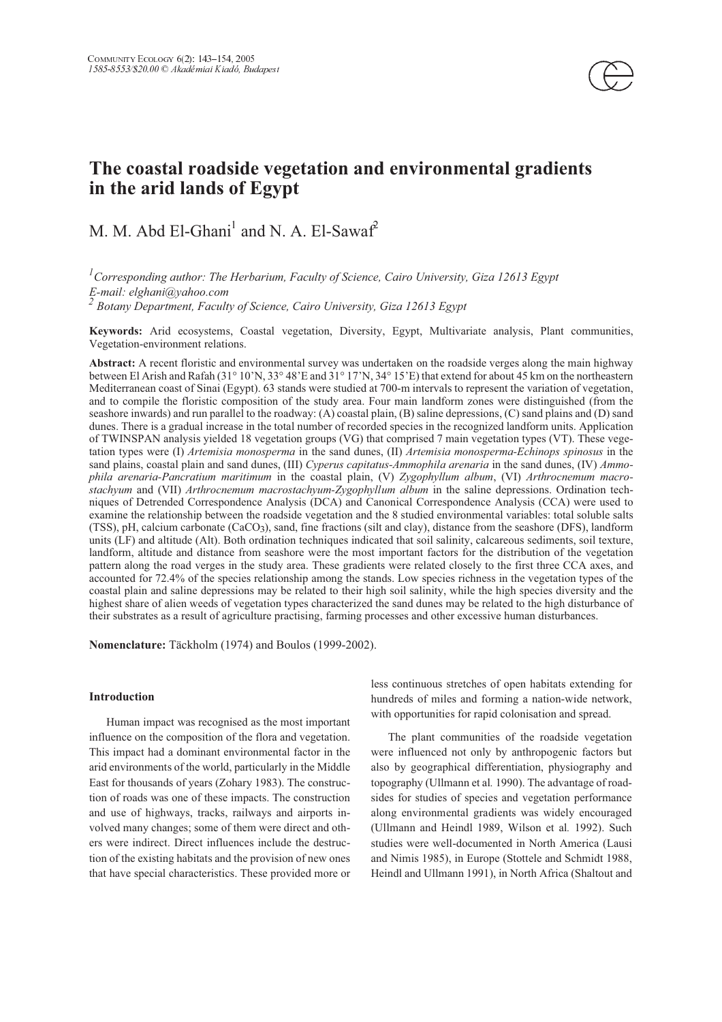

## **The coastal roadside vegetation and environmental gradients in the arid lands of Egypt**

# M. M. Abd El-Ghani<sup>1</sup> and N. A. El-Sawaf<sup>2</sup>

 *Corresponding author: The Herbarium, Faculty of Science, Cairo University, Giza 12613 Egypt E-mail: elghani@yahoo.com*

*Botany Department, Faculty of Science, Cairo University, Giza 12613 Egypt*

**Keywords:** Arid ecosystems, Coastal vegetation, Diversity, Egypt, Multivariate analysis, Plant communities, Vegetation-environment relations.

**Abstract:** A recent floristic and environmental survey was undertaken on the roadside verges along the main highway between El Arish and Rafah (31° 10'N, 33° 48'E and 31° 17'N, 34° 15'E) that extend for about 45 km on the northeastern Mediterranean coast of Sinai (Egypt). 63 stands were studied at 700-m intervals to represent the variation of vegetation, and to compile the floristic composition of the study area. Four main landform zones were distinguished (from the seashore inwards) and run parallel to the roadway: (A) coastal plain, (B) saline depressions, (C) sand plains and (D) sand dunes. There is a gradual increase in the total number of recorded species in the recognized landform units. Application of TWINSPAN analysis yielded 18 vegetation groups (VG) that comprised 7 main vegetation types (VT). These vegetation types were (I) *Artemisia monosperma* in the sand dunes, (II) *Artemisia monosperma-Echinops spinosus* in the sand plains, coastal plain and sand dunes, (III) *Cyperus capitatus-Ammophila arenaria* in the sand dunes, (IV) *Ammophila arenaria-Pancratium maritimum* in the coastal plain, (V) *Zygophyllum album*, (VI) *Arthrocnemum macrostachyum* and (VII) *Arthrocnemum macrostachyum-Zygophyllum album* in the saline depressions. Ordination techniques of Detrended Correspondence Analysis (DCA) and Canonical Correspondence Analysis (CCA) were used to examine the relationship between the roadside vegetation and the 8 studied environmental variables: total soluble salts (TSS), pH, calcium carbonate (CaCO), sand, fine fractions (silt and clay), distance from the seashore (DFS), landform units (LF) and altitude (Alt). Both ordination techniques indicated that soil salinity, calcareous sediments, soil texture, landform, altitude and distance from seashore were the most important factors for the distribution of the vegetation pattern along the road verges in the study area. These gradients were related closely to the first three CCA axes, and accounted for 72.4% of the species relationship among the stands. Low species richness in the vegetation types of the coastal plain and saline depressions may be related to their high soil salinity, while the high species diversity and the highest share of alien weeds of vegetation types characterized the sand dunes may be related to the high disturbance of their substrates as a result of agriculture practising, farming processes and other excessive human disturbances.

**Nomenclature:** Täckholm (1974) and Boulos (1999-2002).

## **Introduction**

Human impact was recognised as the most important influence on the composition of the flora and vegetation. This impact had a dominant environmental factor in the arid environments of the world, particularly in the Middle East for thousands of years (Zohary 1983). The construction of roads was one of these impacts. The construction and use of highways, tracks, railways and airports involved many changes; some of them were direct and others were indirect. Direct influences include the destruction of the existing habitats and the provision of new ones that have special characteristics. These provided more or less continuous stretches of open habitats extending for hundreds of miles and forming a nation-wide network, with opportunities for rapid colonisation and spread.

The plant communities of the roadside vegetation were influenced not only by anthropogenic factors but also by geographical differentiation, physiography and topography (Ullmann et al*.* 1990). The advantage of roadsides for studies of species and vegetation performance along environmental gradients was widely encouraged (Ullmann and Heindl 1989, Wilson et al*.* 1992). Such studies were well-documented in North America (Lausi and Nimis 1985), in Europe (Stottele and Schmidt 1988, Heindl and Ullmann 1991), in North Africa (Shaltout and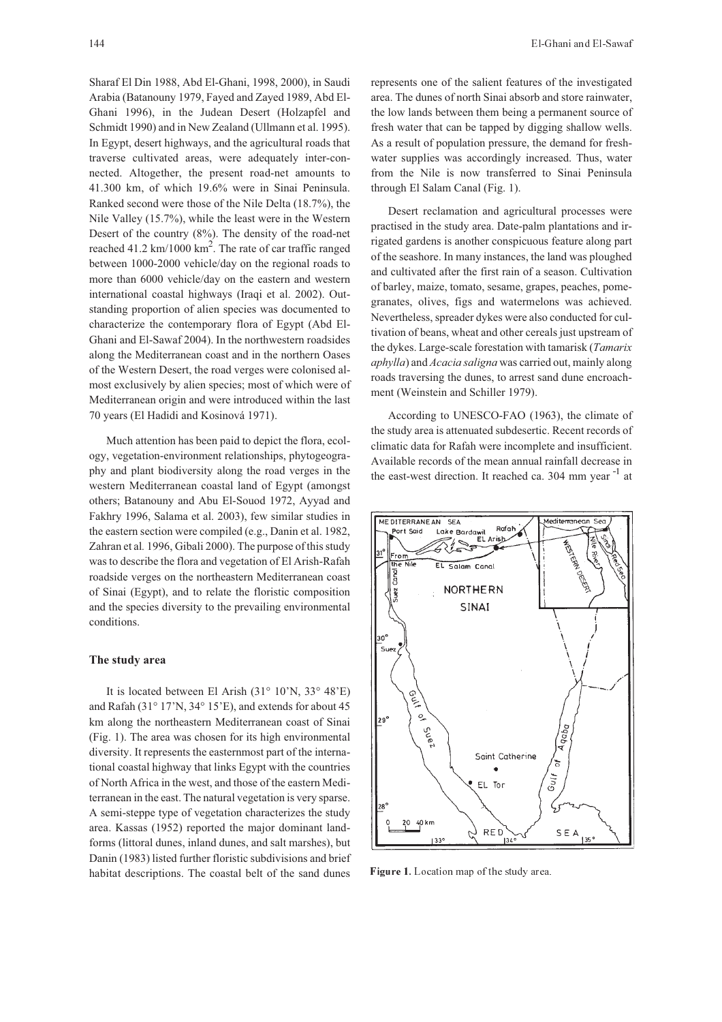Sharaf El Din 1988, Abd El-Ghani, 1998, 2000), in Saudi Arabia (Batanouny 1979, Fayed and Zayed 1989, Abd El-Ghani 1996), in the Judean Desert (Holzapfel and Schmidt 1990) and in New Zealand (Ullmann et al. 1995). In Egypt, desert highways, and the agricultural roads that traverse cultivated areas, were adequately inter-connected. Altogether, the present road-net amounts to 41.300 km, of which 19.6% were in Sinai Peninsula. Ranked second were those of the Nile Delta (18.7%), the Nile Valley (15.7%), while the least were in the Western Desert of the country (8%). The density of the road-net reached 41.2 km/1000  $\text{km}^2$ . The rate of car traffic ranged between 1000-2000 vehicle/day on the regional roads to more than 6000 vehicle/day on the eastern and western international coastal highways (Iraqi et al. 2002). Outstanding proportion of alien species was documented to characterize the contemporary flora of Egypt (Abd El-Ghani and El-Sawaf 2004). In the northwestern roadsides along the Mediterranean coast and in the northern Oases of the Western Desert, the road verges were colonised almost exclusively by alien species; most of which were of Mediterranean origin and were introduced within the last 70 years (El Hadidi and Kosinová 1971).

Much attention has been paid to depict the flora, ecology, vegetation-environment relationships, phytogeography and plant biodiversity along the road verges in the western Mediterranean coastal land of Egypt (amongst others; Batanouny and Abu El-Souod 1972, Ayyad and Fakhry 1996, Salama et al. 2003), few similar studies in the eastern section were compiled (e.g., Danin et al. 1982, Zahran et al*.* 1996, Gibali 2000). The purpose of this study was to describe the flora and vegetation of El Arish-Rafah roadside verges on the northeastern Mediterranean coast of Sinai (Egypt), and to relate the floristic composition and the species diversity to the prevailing environmental conditions.

#### **The study area**

It is located between El Arish (31° 10'N, 33° 48'E) and Rafah (31° 17'N, 34° 15'E), and extends for about 45 km along the northeastern Mediterranean coast of Sinai (Fig. 1). The area was chosen for its high environmental diversity. It represents the easternmost part of the international coastal highway that links Egypt with the countries of North Africa in the west, and those of the eastern Mediterranean in the east. The natural vegetation is very sparse. A semi-steppe type of vegetation characterizes the study area. Kassas (1952) reported the major dominant landforms (littoral dunes, inland dunes, and salt marshes), but Danin (1983) listed further floristic subdivisions and brief habitat descriptions. The coastal belt of the sand dunes represents one of the salient features of the investigated area. The dunes of north Sinai absorb and store rainwater, the low lands between them being a permanent source of fresh water that can be tapped by digging shallow wells. As a result of population pressure, the demand for freshwater supplies was accordingly increased. Thus, water from the Nile is now transferred to Sinai Peninsula through El Salam Canal (Fig. 1).

Desert reclamation and agricultural processes were practised in the study area. Date-palm plantations and irrigated gardens is another conspicuous feature along part of the seashore. In many instances, the land was ploughed and cultivated after the first rain of a season. Cultivation of barley, maize, tomato, sesame, grapes, peaches, pomegranates, olives, figs and watermelons was achieved. Nevertheless, spreader dykes were also conducted for cultivation of beans, wheat and other cereals just upstream of the dykes. Large-scale forestation with tamarisk (*Tamarix aphylla*) and *Acacia saligna* was carried out, mainly along roads traversing the dunes, to arrest sand dune encroachment (Weinstein and Schiller 1979).

According to UNESCO-FAO (1963), the climate of the study area is attenuated subdesertic. Recent records of climatic data for Rafah were incomplete and insufficient. Available records of the mean annual rainfall decrease in the east-west direction. It reached ca.  $304 \text{ mm year}^{-1}$  at



Figure 1. Location map of the study area.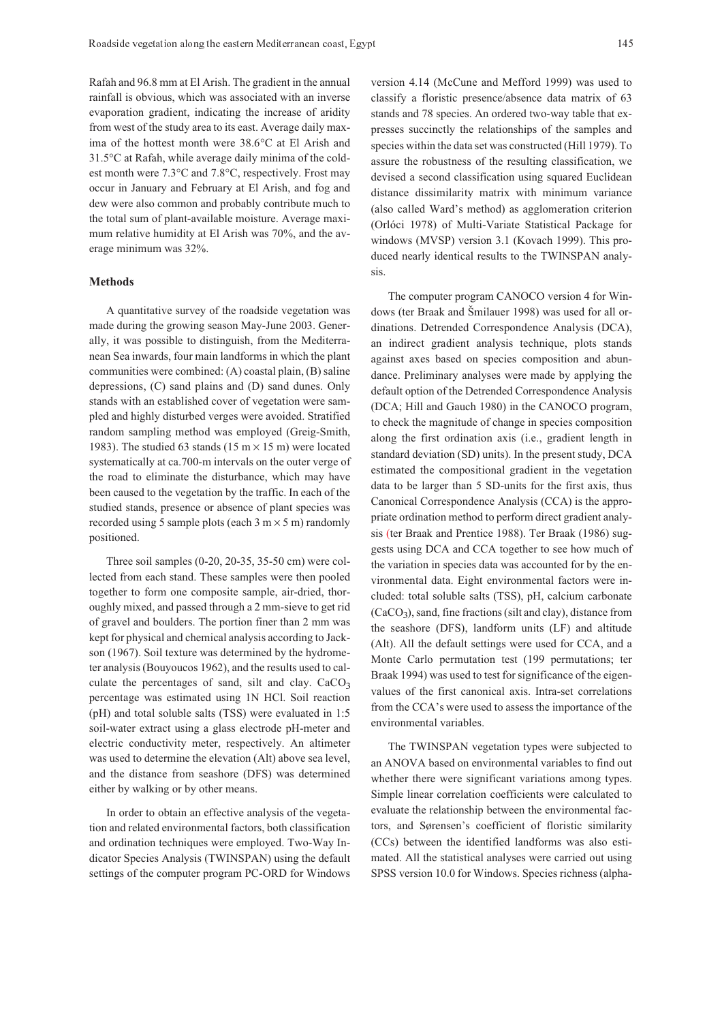Rafah and 96.8 mm at El Arish. The gradient in the annual rainfall is obvious, which was associated with an inverse evaporation gradient, indicating the increase of aridity from west of the study area to its east. Average daily maxima of the hottest month were 38.6°C at El Arish and 31.5°C at Rafah, while average daily minima of the coldest month were 7.3°C and 7.8°C, respectively. Frost may occur in January and February at El Arish, and fog and dew were also common and probably contribute much to the total sum of plant-available moisture. Average maximum relative humidity at El Arish was 70%, and the average minimum was 32%.

#### **Methods**

A quantitative survey of the roadside vegetation was made during the growing season May-June 2003. Generally, it was possible to distinguish, from the Mediterranean Sea inwards, four main landforms in which the plant communities were combined: (A) coastal plain, (B) saline depressions, (C) sand plains and (D) sand dunes. Only stands with an established cover of vegetation were sampled and highly disturbed verges were avoided. Stratified random sampling method was employed (Greig-Smith, 1983). The studied 63 stands (15 m  $\times$  15 m) were located systematically at ca.700-m intervals on the outer verge of the road to eliminate the disturbance, which may have been caused to the vegetation by the traffic. In each of the studied stands, presence or absence of plant species was recorded using 5 sample plots (each  $3 \text{ m} \times 5 \text{ m}$ ) randomly positioned.

Three soil samples (0-20, 20-35, 35-50 cm) were collected from each stand. These samples were then pooled together to form one composite sample, air-dried, thoroughly mixed, and passed through a 2 mm-sieve to get rid of gravel and boulders. The portion finer than 2 mm was kept for physical and chemical analysis according to Jackson (1967). Soil texture was determined by the hydrometer analysis (Bouyoucos 1962), and the results used to calculate the percentages of sand, silt and clay. CaCO<sub>3</sub> percentage was estimated using 1N HCl. Soil reaction (pH) and total soluble salts (TSS) were evaluated in 1:5 soil-water extract using a glass electrode pH-meter and electric conductivity meter, respectively. An altimeter was used to determine the elevation (Alt) above sea level, and the distance from seashore (DFS) was determined either by walking or by other means.

In order to obtain an effective analysis of the vegetation and related environmental factors, both classification and ordination techniques were employed. Two-Way Indicator Species Analysis (TWINSPAN) using the default settings of the computer program PC-ORD for Windows version 4.14 (McCune and Mefford 1999) was used to classify a floristic presence/absence data matrix of 63 stands and 78 species. An ordered two-way table that expresses succinctly the relationships of the samples and species within the data set was constructed (Hill 1979). To assure the robustness of the resulting classification, we devised a second classification using squared Euclidean distance dissimilarity matrix with minimum variance (also called Ward's method) as agglomeration criterion (Orlóci 1978) of Multi-Variate Statistical Package for windows (MVSP) version 3.1 (Kovach 1999). This produced nearly identical results to the TWINSPAN analysis.

The computer program CANOCO version 4 for Windows (ter Braak and Šmilauer 1998) was used for all ordinations. Detrended Correspondence Analysis (DCA), an indirect gradient analysis technique, plots stands against axes based on species composition and abundance. Preliminary analyses were made by applying the default option of the Detrended Correspondence Analysis (DCA; Hill and Gauch 1980) in the CANOCO program, to check the magnitude of change in species composition along the first ordination axis (i.e., gradient length in standard deviation (SD) units). In the present study, DCA estimated the compositional gradient in the vegetation data to be larger than 5 SD-units for the first axis, thus Canonical Correspondence Analysis (CCA) is the appropriate ordination method to perform direct gradient analysis (ter Braak and Prentice 1988). Ter Braak (1986) suggests using DCA and CCA together to see how much of the variation in species data was accounted for by the environmental data. Eight environmental factors were included: total soluble salts (TSS), pH, calcium carbonate  $(CaCO<sub>3</sub>)$ , sand, fine fractions (silt and clay), distance from the seashore (DFS), landform units (LF) and altitude (Alt). All the default settings were used for CCA, and a Monte Carlo permutation test (199 permutations; ter Braak 1994) was used to test for significance of the eigenvalues of the first canonical axis. Intra-set correlations from the CCA's were used to assess the importance of the environmental variables.

The TWINSPAN vegetation types were subjected to an ANOVA based on environmental variables to find out whether there were significant variations among types. Simple linear correlation coefficients were calculated to evaluate the relationship between the environmental factors, and Sørensen's coefficient of floristic similarity (CCs) between the identified landforms was also estimated. All the statistical analyses were carried out using SPSS version 10.0 for Windows. Species richness (alpha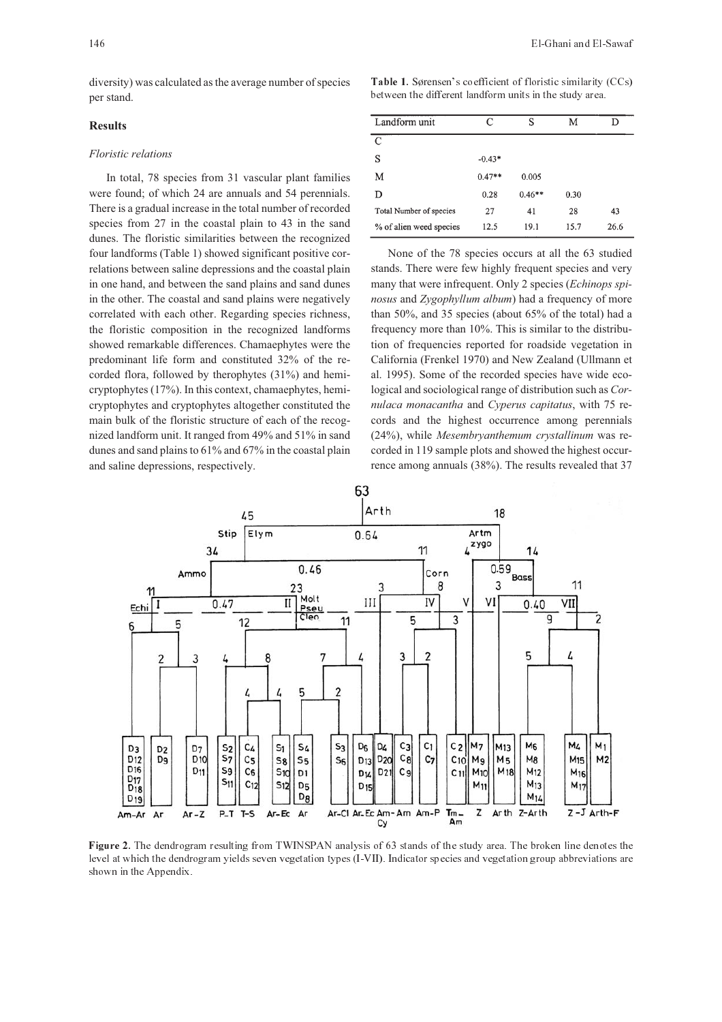diversity) was calculated as the average number of species per stand.

### **Results**

#### *Floristic relations*

In total, 78 species from 31 vascular plant families were found; of which 24 are annuals and 54 perennials. There is a gradual increase in the total number of recorded species from 27 in the coastal plain to 43 in the sand dunes. The floristic similarities between the recognized four landforms (Table 1) showed significant positive correlations between saline depressions and the coastal plain in one hand, and between the sand plains and sand dunes in the other. The coastal and sand plains were negatively correlated with each other. Regarding species richness, the floristic composition in the recognized landforms showed remarkable differences. Chamaephytes were the predominant life form and constituted 32% of the recorded flora, followed by therophytes (31%) and hemicryptophytes (17%). In this context, chamaephytes, hemicryptophytes and cryptophytes altogether constituted the main bulk of the floristic structure of each of the recognized landform unit. It ranged from 49% and 51% in sand dunes and sand plains to 61% and 67% in the coastal plain and saline depressions, respectively.

Table 1. Sørensen's coefficient of floristic similarity (CCs) between the different landform units in the study area.

| Landform unit           | C        | S        | M    |      |
|-------------------------|----------|----------|------|------|
| C                       |          |          |      |      |
| S                       | $-0.43*$ |          |      |      |
| М                       | $0.47**$ | 0.005    |      |      |
| D                       | 0.28     | $0.46**$ | 0.30 |      |
| Total Number of species | 27       | 41       | 28   | 43   |
| % of alien weed species | 12.5     | 19.1     | 15.7 | 26.6 |

None of the 78 species occurs at all the 63 studied stands. There were few highly frequent species and very many that were infrequent. Only 2 species (*Echinops spinosus* and *Zygophyllum album*) had a frequency of more than 50%, and 35 species (about 65% of the total) had a frequency more than 10%. This is similar to the distribution of frequencies reported for roadside vegetation in California (Frenkel 1970) and New Zealand (Ullmann et al. 1995). Some of the recorded species have wide ecological and sociological range of distribution such as *Cornulaca monacantha* and *Cyperus capitatus*, with 75 records and the highest occurrence among perennials (24%), while *Mesembryanthemum crystallinum* was recorded in 119 sample plots and showed the highest occurrence among annuals (38%). The results revealed that 37



Figure 2. The dendrogram resulting from TWINSPAN analysis of 63 stands of the study area. The broken line denotes the level at which the dendrogram yields seven vegetation types (I-VII). Indicator species and vegetation group abbreviations are shown in the Appendix.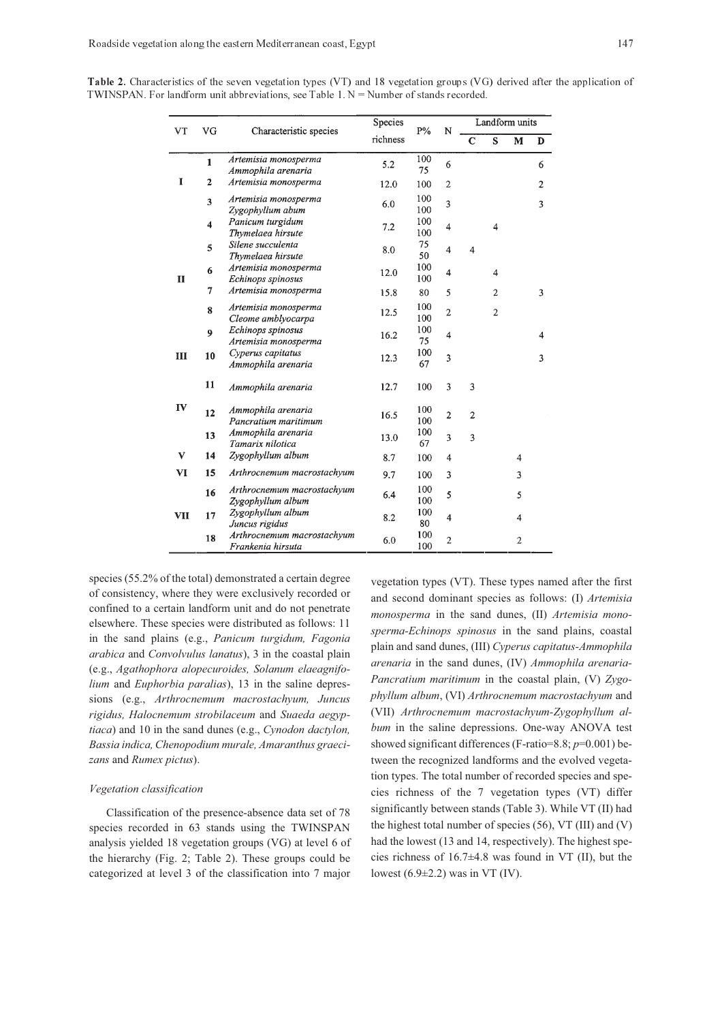| Table 2. Characteristics of the seven vegetation types (VT) and 18 vegetation groups (VG) derived after the application of |  |  |  |  |  |
|----------------------------------------------------------------------------------------------------------------------------|--|--|--|--|--|
| TWINSPAN. For landform unit abbreviations, see Table 1, $N =$ Number of stands recorded.                                   |  |  |  |  |  |

| VT<br>VG   |                         | Characteristic species                          | Species  | $P\%$      | N                       | Landform units |                |                |                |
|------------|-------------------------|-------------------------------------------------|----------|------------|-------------------------|----------------|----------------|----------------|----------------|
|            |                         |                                                 | richness |            |                         | $\overline{c}$ | S              | M              | D              |
|            | $\mathbf{1}$            | Artemisia monosperma<br>Ammophila arenaria      | 5.2      | 100<br>75  | 6                       |                |                |                | 6              |
| I          | 2                       | Artemisia monosperma                            | 12.0     | 100        | $\mathbf{2}$            |                |                |                | $\overline{2}$ |
|            | $\overline{\mathbf{3}}$ | Artemisia monosperma<br>Zygophyllum abum        | 6.0      | 100<br>100 | 3                       |                |                |                | 3              |
|            | $\overline{\mathbf{4}}$ | Panicum turgidum<br>Thymelaea hirsute           | 7.2      | 100<br>100 | $\overline{4}$          |                | 4              |                |                |
|            | 5                       | Silene succulenta<br>Thymelaea hirsute          | 8.0      | 75<br>50   | $\overline{\mathbf{4}}$ | $\overline{4}$ |                |                |                |
| H          | 6                       | Artemisia monosperma<br>Echinops spinosus       | 12.0     | 100<br>100 | $\overline{\mathbf{4}}$ |                | 4              |                |                |
|            | 7                       | Artemisia monosperma                            | 15.8     | 80         | 5                       |                | 2              |                | 3              |
|            | 8                       | Artemisia monosperma<br>Cleome amblyocarpa      | 12.5     | 100<br>100 | 2                       |                | $\overline{2}$ |                |                |
|            | 9                       | Echinops spinosus<br>Artemisia monosperma       | 16.2     | 100<br>75  | $\overline{\mathbf{4}}$ |                |                |                | 4              |
| Ш          | 10                      | Cyperus capitatus<br>Ammophila arenaria         | 12.3     | 100<br>67  | 3                       |                |                |                | 3              |
|            | 11                      | Ammophila arenaria                              | 12.7     | 100        | 3                       | 3              |                |                |                |
| IV         | 12                      | Ammophila arenaria<br>Pancratium maritimum      | 16.5     | 100<br>100 | $\overline{2}$          | $\overline{2}$ |                |                |                |
|            | 13                      | Ammophila arenaria<br>Tamarix nilotica          | 13.0     | 100<br>67  | 3                       | 3              |                |                |                |
| V          | 14                      | Zygophyllum album                               | 8.7      | 100        | 4                       |                |                | 4              |                |
| VI         | 15                      | Arthrocnemum macrostachyum                      | 9.7      | 100        | 3                       |                |                | 3              |                |
|            | 16                      | Arthrocnemum macrostachyum<br>Zygophyllum album | 6.4      | 100<br>100 | 5                       |                |                | 5              |                |
| <b>VII</b> | 17                      | Zygophyllum album<br>Juncus rigidus             | 8.2      | 100<br>80  | 4                       |                |                | 4              |                |
|            | 18                      | Arthrocnemum macrostachyum<br>Frankenia hirsuta | 6.0      | 100<br>100 | $\overline{2}$          |                |                | $\overline{2}$ |                |

species (55.2% of the total) demonstrated a certain degree of consistency, where they were exclusively recorded or confined to a certain landform unit and do not penetrate elsewhere. These species were distributed as follows: 11 in the sand plains (e.g., *Panicum turgidum, Fagonia arabica* and *Convolvulus lanatus*), 3 in the coastal plain (e.g., *Agathophora alopecuroides, Solanum elaeagnifolium* and *Euphorbia paralias*), 13 in the saline depressions (e.g., *Arthrocnemum macrostachyum, Juncus rigidus, Halocnemum strobilaceum* and *Suaeda aegyptiaca*) and 10 in the sand dunes (e.g., *Cynodon dactylon, Bassia indica, Chenopodium murale, Amaranthus graecizans* and *Rumex pictus*).

#### *Vegetation classification*

Classification of the presence-absence data set of 78 species recorded in 63 stands using the TWINSPAN analysis yielded 18 vegetation groups (VG) at level 6 of the hierarchy (Fig. 2; Table 2). These groups could be categorized at level 3 of the classification into 7 major

vegetation types (VT). These types named after the first and second dominant species as follows: (I) *Artemisia monosperma* in the sand dunes, (II) *Artemisia monosperma-Echinops spinosus* in the sand plains, coastal plain and sand dunes, (III) *Cyperus capitatus-Ammophila arenaria* in the sand dunes, (IV) *Ammophila arenaria-Pancratium maritimum* in the coastal plain, (V) *Zygophyllum album*, (VI) *Arthrocnemum macrostachyum* and (VII) *Arthrocnemum macrostachyum-Zygophyllum album* in the saline depressions. One-way ANOVA test showed significant differences (F-ratio=8.8; *p*=0.001) between the recognized landforms and the evolved vegetation types. The total number of recorded species and species richness of the 7 vegetation types (VT) differ significantly between stands (Table 3). While VT (II) had the highest total number of species (56), VT (III) and (V) had the lowest (13 and 14, respectively). The highest species richness of 16.7±4.8 was found in VT (II), but the lowest  $(6.9\pm2.2)$  was in VT (IV).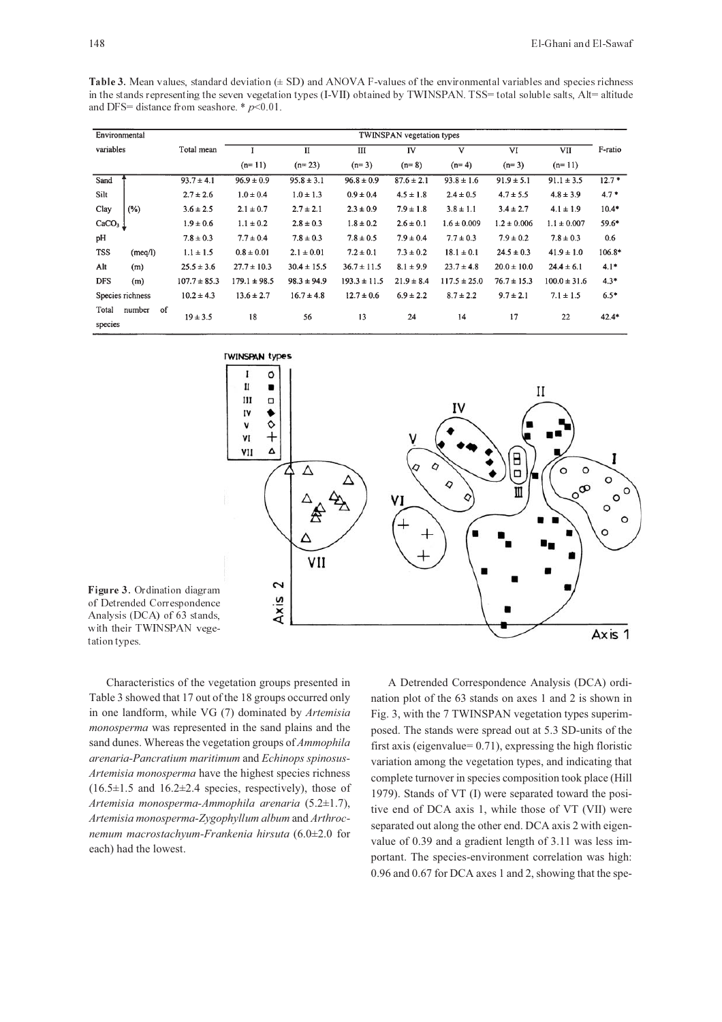Table 3. Mean values, standard deviation  $(\pm SD)$  and ANOVA F-values of the environmental variables and species richness in the stands representing the seven vegetation types (I-VII) obtained by TWINSPAN. TSS= total soluble salts, Alt= altitude and DFS= distance from seashore.  $* p<0.01$ .

|                  | Environmental    |    |                  |                  |                 |                  | TWINSPAN vegetation types |                  |                 |                  |         |
|------------------|------------------|----|------------------|------------------|-----------------|------------------|---------------------------|------------------|-----------------|------------------|---------|
| variables        |                  |    | Total mean       |                  | $_{\rm II}$     | Ш                | IV                        | V                | VI              | VII              | F-ratio |
|                  |                  |    |                  | $(n=11)$         | $(n=23)$        | $(n=3)$          | $(n=8)$                   | $(n=4)$          | $(n=3)$         | $(n=11)$         |         |
| Sand             |                  |    | $93.7 \pm 4.1$   | $96.9 \pm 0.9$   | $95.8 \pm 3.1$  | $96.8 \pm 0.9$   | $87.6 \pm 2.1$            | $93.8 \pm 1.6$   | $91.9 \pm 5.1$  | $91.1 \pm 3.5$   | $12.7*$ |
| Silt             |                  |    | $2.7 \pm 2.6$    | $1.0 \pm 0.4$    | $1.0 \pm 1.3$   | $0.9 \pm 0.4$    | $4.5 \pm 1.8$             | $2.4 \pm 0.5$    | $4.7 \pm 5.5$   | $4.8 \pm 3.9$    | $4.7*$  |
| Clay             | (%)              |    | $3.6 \pm 2.5$    | $2.1 \pm 0.7$    | $2.7 \pm 2.1$   | $2.3 \pm 0.9$    | $7.9 \pm 1.8$             | $3.8 \pm 1.1$    | $3.4 \pm 2.7$   | $4.1 \pm 1.9$    | $10.4*$ |
| $CaCO3$ $\perp$  |                  |    | $1.9 \pm 0.6$    | $1.1 \pm 0.2$    | $2.8 \pm 0.3$   | $1.8 \pm 0.2$    | $2.6 \pm 0.1$             | $1.6 \pm 0.009$  | $1.2 \pm 0.006$ | $1.1 \pm 0.007$  | 59.6*   |
| pH               |                  |    | $7.8 \pm 0.3$    | $7.7 \pm 0.4$    | $7.8 \pm 0.3$   | $7.8 \pm 0.5$    | $7.9 \pm 0.4$             | $7.7 \pm 0.3$    | $7.9 \pm 0.2$   | $7.8 \pm 0.3$    | 0.6     |
| <b>TSS</b>       | (meq/l)          |    | $1.1 \pm 1.5$    | $0.8 \pm 0.01$   | $2.1 \pm 0.01$  | $7.2 \pm 0.1$    | $7.3 \pm 0.2$             | $18.1 \pm 0.1$   | $24.5 \pm 0.3$  | $41.9 \pm 1.0$   | 106.8*  |
| Alt              | (m)              |    | $25.5 \pm 3.6$   | $27.7 \pm 10.3$  | $30.4 \pm 15.5$ | $36.7 \pm 11.5$  | $8.1 \pm 9.9$             | $23.7 \pm 4.8$   | $20.0 \pm 10.0$ | $24.4 \pm 6.1$   | $4.1*$  |
| <b>DFS</b>       | (m)              |    | $107.7 \pm 85.3$ | $179.1 \pm 98.5$ | $98.3 \pm 94.9$ | $193.3 \pm 11.5$ | $21.9 \pm 8.4$            | $117.5 \pm 25.0$ | $76.7 \pm 15.3$ | $100.0 \pm 31.6$ | $4.3*$  |
|                  | Species richness |    | $10.2 \pm 4.3$   | $13.6 \pm 2.7$   | $16.7 \pm 4.8$  | $12.7 \pm 0.6$   | $6.9 \pm 2.2$             | $8.7 \pm 2.2$    | $9.7 \pm 2.1$   | $7.1 \pm 1.5$    | $6.5*$  |
| Total<br>species | number           | of | $19 \pm 3.5$     | 18               | 56              | 13               | 24                        | 14               | 17              | 22               | $42.4*$ |



Figure 3. Ordination diagram of Detrended Correspondence Analysis (DCA) of 63 stands, with their TWINSPAN vegetation types.

Characteristics of the vegetation groups presented in Table 3 showed that 17 out of the 18 groups occurred only in one landform, while VG (7) dominated by *Artemisia monosperma* was represented in the sand plains and the sand dunes. Whereas the vegetation groups of *Ammophila arenaria-Pancratium maritimum* and *Echinops spinosus-Artemisia monosperma* have the highest species richness  $(16.5\pm1.5 \text{ and } 16.2\pm2.4 \text{ species}, \text{respectively}), \text{those of}$ *Artemisia monosperma-Ammophila arenaria* (5.2±1.7), *Artemisia monosperma-Zygophyllum album* and *Arthrocnemum macrostachyum-Frankenia hirsuta* (6.0±2.0 for each) had the lowest.

A Detrended Correspondence Analysis (DCA) ordination plot of the 63 stands on axes 1 and 2 is shown in Fig. 3, with the 7 TWINSPAN vegetation types superimposed. The stands were spread out at 5.3 SD-units of the first axis (eigenvalue= 0.71), expressing the high floristic variation among the vegetation types, and indicating that complete turnover in species composition took place (Hill 1979). Stands of VT (I) were separated toward the positive end of DCA axis 1, while those of VT (VII) were separated out along the other end. DCA axis 2 with eigenvalue of 0.39 and a gradient length of 3.11 was less important. The species-environment correlation was high: 0.96 and 0.67 for DCA axes 1 and 2, showing that the spe-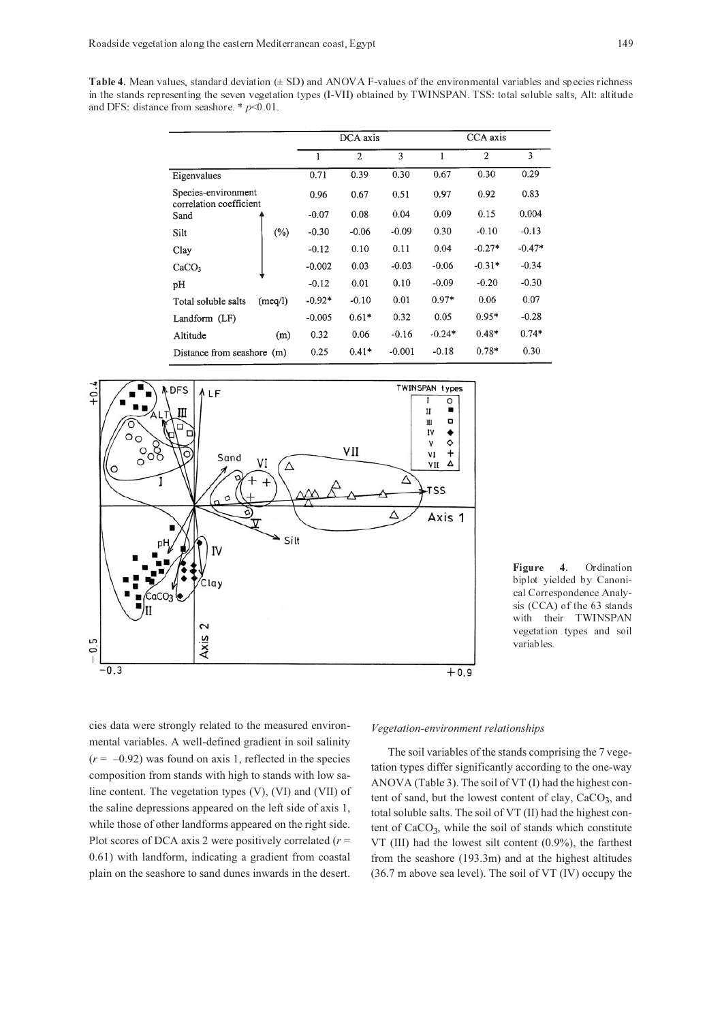Table 4. Mean values, standard deviation  $(\pm SD)$  and ANOVA F-values of the environmental variables and species richness in the stands representing the seven vegetation types (I-VII) obtained by TWINSPAN. TSS: total soluble salts, Alt: altitude and DFS: distance from seashore.  $*$   $p<0.01$ .

|                                                |         |          | DCA axis       |          |          | CCA axis       |          |
|------------------------------------------------|---------|----------|----------------|----------|----------|----------------|----------|
|                                                |         | 1        | $\overline{2}$ | 3        | 1        | $\overline{2}$ | 3        |
| Eigenvalues                                    |         | 0.71     | 0.39           | 0.30     | 0.67     | 0.30           | 0.29     |
| Species-environment<br>correlation coefficient |         | 0.96     | 0.67           | 0.51     | 0.97     | 0.92           | 0.83     |
| Sand                                           |         | $-0.07$  | 0.08           | 0.04     | 0.09     | 0.15           | 0.004    |
| Silt                                           | $(\% )$ | $-0.30$  | $-0.06$        | $-0.09$  | 0.30     | $-0.10$        | $-0.13$  |
| Clay                                           |         | $-0.12$  | 0.10           | 0.11     | 0.04     | $-0.27*$       | $-0.47*$ |
| CaCO <sub>3</sub>                              |         | $-0.002$ | 0.03           | $-0.03$  | $-0.06$  | $-0.31*$       | $-0.34$  |
| pH                                             |         | $-0.12$  | 0.01           | 0.10     | $-0.09$  | $-0.20$        | $-0.30$  |
| Total soluble salts                            | (meq/l) | $-0.92*$ | $-0.10$        | 0.01     | $0.97*$  | 0.06           | 0.07     |
| Landform (LF)                                  |         | $-0.005$ | $0.61*$        | 0.32     | 0.05     | $0.95*$        | $-0.28$  |
| Altitude                                       | (m)     | 0.32     | 0.06           | $-0.16$  | $-0.24*$ | $0.48*$        | $0.74*$  |
| Distance from seashore (m)                     |         | 0.25     | $0.41*$        | $-0.001$ | $-0.18$  | $0.78*$        | 0.30     |



Figure 4. Ordination biplot yielded by Canonical Correspondence Analy $sis$  (CCA) of the  $63$  stands with their TWINSPAN vegetation types and soil variables.

cies data were strongly related to the measured environmental variables. A well-defined gradient in soil salinity  $(r = -0.92)$  was found on axis 1, reflected in the species composition from stands with high to stands with low saline content. The vegetation types (V), (VI) and (VII) of the saline depressions appeared on the left side of axis 1, while those of other landforms appeared on the right side. Plot scores of DCA axis 2 were positively correlated  $(r =$ 0.61) with landform, indicating a gradient from coastal plain on the seashore to sand dunes inwards in the desert.

#### *Vegetation-environment relationships*

The soil variables of the stands comprising the 7 vegetation types differ significantly according to the one-way ANOVA (Table 3). The soil of VT (I) had the highest content of sand, but the lowest content of clay, CaCO<sub>3</sub>, and total soluble salts. The soil of VT (II) had the highest content of  $CaCO<sub>3</sub>$ , while the soil of stands which constitute VT (III) had the lowest silt content (0.9%), the farthest from the seashore (193.3m) and at the highest altitudes (36.7 m above sea level). The soil of VT (IV) occupy the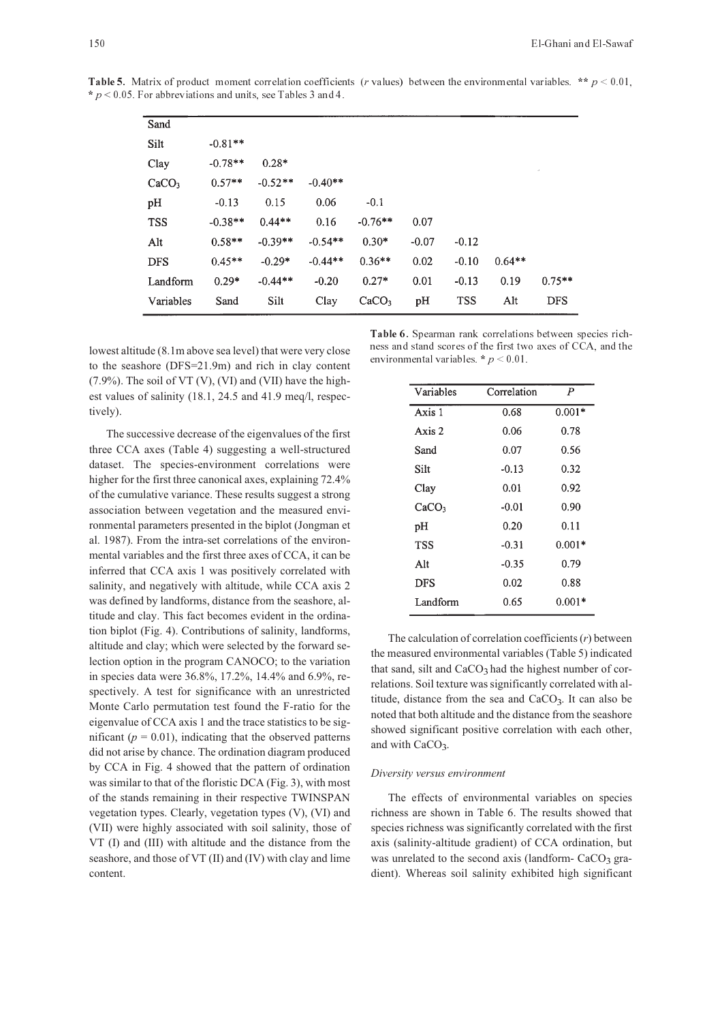| Sand              |           |           |           |                   |         |            |          |               |
|-------------------|-----------|-----------|-----------|-------------------|---------|------------|----------|---------------|
| Silt              | $-0.81**$ |           |           |                   |         |            |          |               |
| Clay              | $-0.78**$ | $0.28*$   |           |                   |         |            |          | $\mathcal{A}$ |
| CaCO <sub>3</sub> | $0.57**$  | $-0.52**$ | $-0.40**$ |                   |         |            |          |               |
| pH                | $-0.13$   | 0.15      | 0.06      | $-0.1$            |         |            |          |               |
| <b>TSS</b>        | $-0.38**$ | $0.44**$  | 0.16      | $-0.76**$         | 0.07    |            |          |               |
| Alt               | $0.58**$  | $-0.39**$ | $-0.54**$ | $0.30*$           | $-0.07$ | $-0.12$    |          |               |
| <b>DFS</b>        | $0.45**$  | $-0.29*$  | $-0.44**$ | $0.36**$          | 0.02    | $-0.10$    | $0.64**$ |               |
| Landform          | $0.29*$   | $-0.44**$ | $-0.20$   | $0.27*$           | 0.01    | $-0.13$    | 0.19     | $0.75**$      |
| Variables         | Sand      | Silt      | Clay      | CaCO <sub>3</sub> | pH      | <b>TSS</b> | Alt      | <b>DFS</b>    |

**Table 5.** Matrix of product moment correlation coefficients (r values) between the environmental variables. \*\*  $p < 0.01$ ,  $* p < 0.05$ . For abbreviations and units, see Tables 3 and 4.

lowest altitude (8.1m above sea level) that were very close to the seashore (DFS=21.9m) and rich in clay content  $(7.9\%)$ . The soil of VT (V), (VI) and (VII) have the highest values of salinity (18.1, 24.5 and 41.9 meq/l, respectively).

The successive decrease of the eigenvalues of the first three CCA axes (Table 4) suggesting a well-structured dataset. The species-environment correlations were higher for the first three canonical axes, explaining 72.4% of the cumulative variance. These results suggest a strong association between vegetation and the measured environmental parameters presented in the biplot (Jongman et al. 1987). From the intra-set correlations of the environmental variables and the first three axes of CCA, it can be inferred that CCA axis 1 was positively correlated with salinity, and negatively with altitude, while CCA axis 2 was defined by landforms, distance from the seashore, altitude and clay. This fact becomes evident in the ordination biplot (Fig. 4). Contributions of salinity, landforms, altitude and clay; which were selected by the forward selection option in the program CANOCO; to the variation in species data were 36.8%, 17.2%, 14.4% and 6.9%, respectively. A test for significance with an unrestricted Monte Carlo permutation test found the F-ratio for the eigenvalue of CCA axis 1 and the trace statistics to be significant ( $p = 0.01$ ), indicating that the observed patterns did not arise by chance. The ordination diagram produced by CCA in Fig. 4 showed that the pattern of ordination was similar to that of the floristic DCA (Fig. 3), with most of the stands remaining in their respective TWINSPAN vegetation types. Clearly, vegetation types (V), (VI) and (VII) were highly associated with soil salinity, those of VT (I) and (III) with altitude and the distance from the seashore, and those of VT (II) and (IV) with clay and lime content.

Table 6. Spearman rank correlations between species richness and stand scores of the first two axes of CCA, and the environmental variables.  $* p < 0.01$ .

| Variables         | Correlation | $\boldsymbol{P}$ |
|-------------------|-------------|------------------|
| Axis 1            | 0.68        | $0.001*$         |
| Axis 2            | 0.06        | 0.78             |
| Sand              | 0.07        | 0.56             |
| Silt              | $-0.13$     | 0.32             |
| Clay              | 0.01        | 0.92             |
| CaCO <sub>3</sub> | $-0.01$     | 0.90             |
| pH                | 0.20        | 0.11             |
| TSS               | $-0.31$     | $0.001*$         |
| Alt               | $-0.35$     | 0.79             |
| <b>DFS</b>        | 0.02        | 0.88             |
| Landform          | 0.65        | $0.001*$         |

The calculation of correlation coefficients (*r*) between the measured environmental variables (Table 5) indicated that sand, silt and  $CaCO<sub>3</sub>$  had the highest number of correlations. Soil texture was significantly correlated with altitude, distance from the sea and  $CaCO<sub>3</sub>$ . It can also be noted that both altitude and the distance from the seashore showed significant positive correlation with each other, and with CaCO<sub>3</sub>.

#### *Diversity versus environment*

The effects of environmental variables on species richness are shown in Table 6. The results showed that species richness was significantly correlated with the first axis (salinity-altitude gradient) of CCA ordination, but was unrelated to the second axis (landform- $CaCO<sub>3</sub>$  gradient). Whereas soil salinity exhibited high significant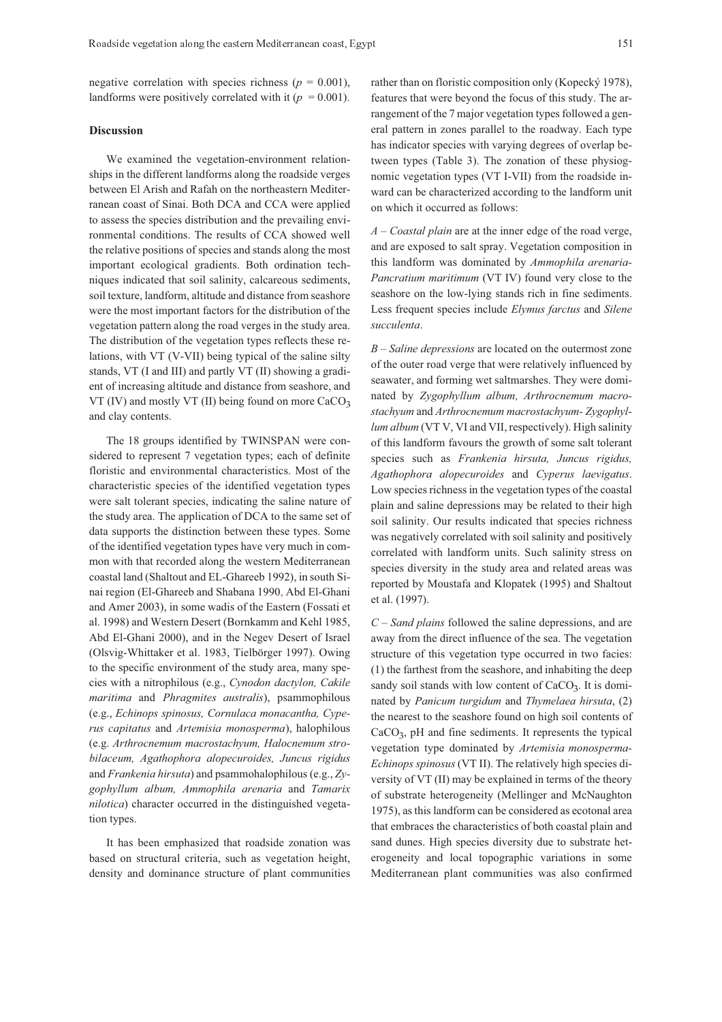negative correlation with species richness ( $p = 0.001$ ), landforms were positively correlated with it  $(p = 0.001)$ .

#### **Discussion**

We examined the vegetation-environment relationships in the different landforms along the roadside verges between El Arish and Rafah on the northeastern Mediterranean coast of Sinai. Both DCA and CCA were applied to assess the species distribution and the prevailing environmental conditions. The results of CCA showed well the relative positions of species and stands along the most important ecological gradients. Both ordination techniques indicated that soil salinity, calcareous sediments, soil texture, landform, altitude and distance from seashore were the most important factors for the distribution of the vegetation pattern along the road verges in the study area. The distribution of the vegetation types reflects these relations, with VT (V-VII) being typical of the saline silty stands, VT (I and III) and partly VT (II) showing a gradient of increasing altitude and distance from seashore, and VT (IV) and mostly VT (II) being found on more  $CaCO<sub>3</sub>$ and clay contents.

The 18 groups identified by TWINSPAN were considered to represent 7 vegetation types; each of definite floristic and environmental characteristics. Most of the characteristic species of the identified vegetation types were salt tolerant species, indicating the saline nature of the study area. The application of DCA to the same set of data supports the distinction between these types. Some of the identified vegetation types have very much in common with that recorded along the western Mediterranean coastal land (Shaltout and EL-Ghareeb 1992), in south Sinai region (El-Ghareeb and Shabana 1990, Abd El-Ghani and Amer 2003), in some wadis of the Eastern (Fossati et al. 1998) and Western Desert (Bornkamm and Kehl 1985, Abd El-Ghani 2000), and in the Negev Desert of Israel (Olsvig-Whittaker et al. 1983, Tielbörger 1997). Owing to the specific environment of the study area, many species with a nitrophilous (e.g., *Cynodon dactylon, Cakile maritima* and *Phragmites australis*), psammophilous (e.g., *Echinops spinosus, Cornulaca monacantha, Cyperus capitatus* and *Artemisia monosperma*), halophilous (e.g. *Arthrocnemum macrostachyum, Halocnemum strobilaceum, Agathophora alopecuroides, Juncus rigidus* and *Frankenia hirsuta*) and psammohalophilous (e.g., *Zygophyllum album, Ammophila arenaria* and *Tamarix nilotica*) character occurred in the distinguished vegetation types.

It has been emphasized that roadside zonation was based on structural criteria, such as vegetation height, density and dominance structure of plant communities rather than on floristic composition only (Kopecký 1978), features that were beyond the focus of this study. The arrangement of the 7 major vegetation types followed a general pattern in zones parallel to the roadway. Each type has indicator species with varying degrees of overlap between types (Table 3). The zonation of these physiognomic vegetation types (VT I-VII) from the roadside inward can be characterized according to the landform unit on which it occurred as follows:

*A – Coastal plain* are at the inner edge of the road verge, and are exposed to salt spray. Vegetation composition in this landform was dominated by *Ammophila arenaria-Pancratium maritimum* (VT IV) found very close to the seashore on the low-lying stands rich in fine sediments. Less frequent species include *Elymus farctus* and *Silene succulenta*.

*B – Saline depressions* are located on the outermost zone of the outer road verge that were relatively influenced by seawater, and forming wet saltmarshes. They were dominated by *Zygophyllum album, Arthrocnemum macrostachyum* and *Arthrocnemum macrostachyum- Zygophyllum album* (VT V, VI and VII, respectively). High salinity of this landform favours the growth of some salt tolerant species such as *Frankenia hirsuta, Juncus rigidus, Agathophora alopecuroides* and *Cyperus laevigatus*. Low species richness in the vegetation types of the coastal plain and saline depressions may be related to their high soil salinity. Our results indicated that species richness was negatively correlated with soil salinity and positively correlated with landform units. Such salinity stress on species diversity in the study area and related areas was reported by Moustafa and Klopatek (1995) and Shaltout et al. (1997).

*C – Sand plains* followed the saline depressions, and are away from the direct influence of the sea. The vegetation structure of this vegetation type occurred in two facies: (1) the farthest from the seashore, and inhabiting the deep sandy soil stands with low content of  $CaCO<sub>3</sub>$ . It is dominated by *Panicum turgidum* and *Thymelaea hirsuta*, (2) the nearest to the seashore found on high soil contents of CaCO, pH and fine sediments. It represents the typical vegetation type dominated by *Artemisia monosperma-Echinops spinosus* (VT II). The relatively high species diversity of VT (II) may be explained in terms of the theory of substrate heterogeneity (Mellinger and McNaughton 1975), as this landform can be considered as ecotonal area that embraces the characteristics of both coastal plain and sand dunes. High species diversity due to substrate heterogeneity and local topographic variations in some Mediterranean plant communities was also confirmed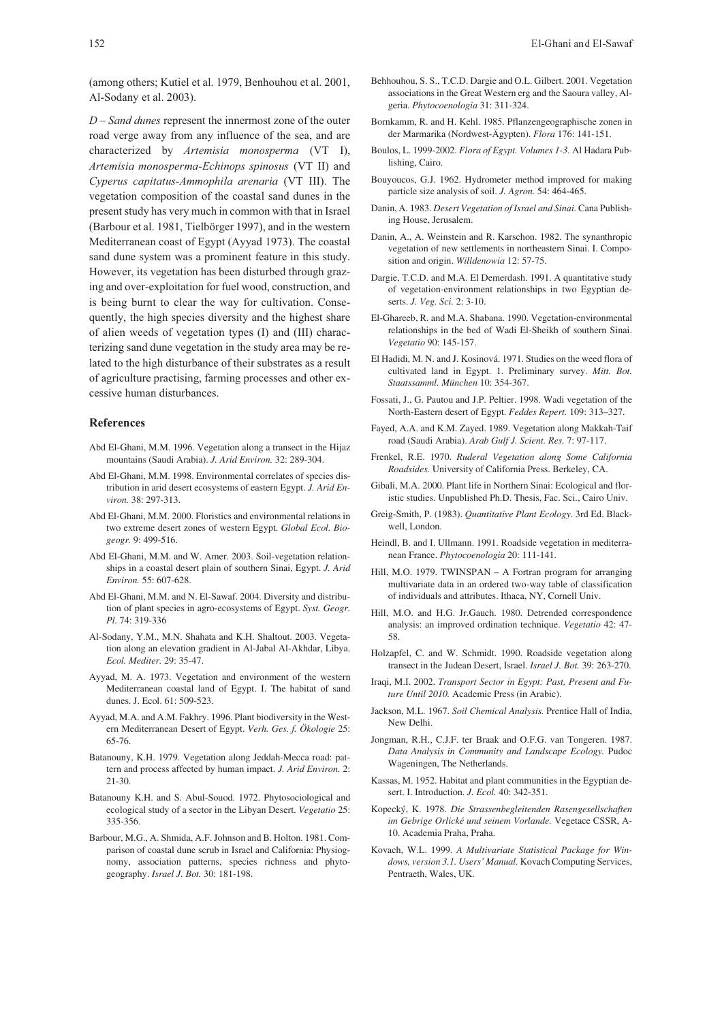(among others; Kutiel et al. 1979, Benhouhou et al. 2001, Al-Sodany et al. 2003).

*D – Sand dunes* represent the innermost zone of the outer road verge away from any influence of the sea, and are characterized by *Artemisia monosperma* (VT I), *Artemisia monosperma-Echinops spinosus* (VT II) and *Cyperus capitatus-Ammophila arenaria* (VT III). The vegetation composition of the coastal sand dunes in the present study has very much in common with that in Israel (Barbour et al. 1981, Tielbörger 1997), and in the western Mediterranean coast of Egypt (Ayyad 1973). The coastal sand dune system was a prominent feature in this study. However, its vegetation has been disturbed through grazing and over-exploitation for fuel wood, construction, and is being burnt to clear the way for cultivation. Consequently, the high species diversity and the highest share of alien weeds of vegetation types (I) and (III) characterizing sand dune vegetation in the study area may be related to the high disturbance of their substrates as a result of agriculture practising, farming processes and other excessive human disturbances.

#### **References**

- Abd El-Ghani, M.M. 1996. Vegetation along a transect in the Hijaz mountains (Saudi Arabia). *J. Arid Environ.* 32: 289-304.
- Abd El-Ghani, M.M. 1998. Environmental correlates of species distribution in arid desert ecosystems of eastern Egypt. *J. Arid Environ.* 38: 297-313.
- Abd El-Ghani, M.M. 2000. Floristics and environmental relations in two extreme desert zones of western Egypt. *Global Ecol. Biogeogr.* 9: 499-516.
- Abd El-Ghani, M.M. and W. Amer. 2003. Soil-vegetation relationships in a coastal desert plain of southern Sinai, Egypt. *J. Arid Environ.* 55: 607-628.
- Abd El-Ghani, M.M. and N. El-Sawaf. 2004. Diversity and distribution of plant species in agro-ecosystems of Egypt. *Syst. Geogr. Pl.* 74: 319-336
- Al-Sodany, Y.M., M.N. Shahata and K.H. Shaltout. 2003. Vegetation along an elevation gradient in Al-Jabal Al-Akhdar, Libya. *Ecol. Mediter.* 29: 35-47.
- Ayyad, M. A. 1973. Vegetation and environment of the western Mediterranean coastal land of Egypt. I. The habitat of sand dunes. J. Ecol. 61: 509-523.
- Ayyad, M.A. and A.M. Fakhry. 1996. Plant biodiversity in the Western Mediterranean Desert of Egypt. *Verh. Ges. f. Ökologie* 25: 65-76.
- Batanouny, K.H. 1979. Vegetation along Jeddah-Mecca road: pattern and process affected by human impact. *J. Arid Environ.* 2: 21-30.
- Batanouny K.H. and S. Abul-Souod. 1972. Phytosociological and ecological study of a sector in the Libyan Desert. *Vegetatio* 25: 335-356.
- Barbour, M.G., A. Shmida, A.F. Johnson and B. Holton. 1981. Comparison of coastal dune scrub in Israel and California: Physiognomy, association patterns, species richness and phytogeography. *Israel J. Bot.* 30: 181-198.
- Behhouhou, S. S., T.C.D. Dargie and O.L. Gilbert. 2001. Vegetation associations in the Great Western erg and the Saoura valley, Algeria. *Phytocoenologia* 31: 311-324.
- Bornkamm, R. and H. Kehl. 1985. Pflanzengeographische zonen in der Marmarika (Nordwest-Ägypten). *Flora* 176: 141-151.
- Boulos, L. 1999-2002. *Flora of Egypt. Volumes 1-3*. Al Hadara Publishing, Cairo.
- Bouyoucos, G.J. 1962. Hydrometer method improved for making particle size analysis of soil. *J. Agron.* 54: 464-465.
- Danin, A. 1983. *Desert Vegetation of Israel and Sinai.* Cana Publishing House, Jerusalem.
- Danin, A., A. Weinstein and R. Karschon. 1982. The synanthropic vegetation of new settlements in northeastern Sinai. I. Composition and origin. *Willdenowia* 12: 57-75.
- Dargie, T.C.D. and M.A. El Demerdash. 1991. A quantitative study of vegetation-environment relationships in two Egyptian deserts. *J. Veg. Sci.* 2: 3-10.
- El-Ghareeb, R. and M.A. Shabana. 1990. Vegetation-environmental relationships in the bed of Wadi El-Sheikh of southern Sinai. *Vegetatio* 90: 145-157.
- El Hadidi, M. N. and J. Kosinová. 1971. Studies on the weed flora of cultivated land in Egypt. 1. Preliminary survey. *Mitt. Bot. Staatssamml. München* 10: 354-367.
- Fossati, J., G. Pautou and J.P. Peltier. 1998. Wadi vegetation of the North-Eastern desert of Egypt. *Feddes Repert.* 109: 313–327.
- Fayed, A.A. and K.M. Zayed. 1989. Vegetation along Makkah-Taif road (Saudi Arabia). *Arab Gulf J. Scient. Res.* 7: 97-117.
- Frenkel, R.E. 1970. *Ruderal Vegetation along Some California Roadsides.* University of California Press. Berkeley, CA.
- Gibali, M.A. 2000. Plant life in Northern Sinai: Ecological and floristic studies. Unpublished Ph.D. Thesis, Fac. Sci., Cairo Univ.
- Greig-Smith, P. (1983). *Quantitative Plant Ecology*. 3rd Ed. Blackwell, London.
- Heindl, B. and I. Ullmann. 1991. Roadside vegetation in mediterranean France. *Phytocoenologia* 20: 111-141.
- Hill, M.O. 1979. TWINSPAN A Fortran program for arranging multivariate data in an ordered two-way table of classification of individuals and attributes. Ithaca, NY, Cornell Univ.
- Hill, M.O. and H.G. Jr.Gauch. 1980. Detrended correspondence analysis: an improved ordination technique. *Vegetatio* 42: 47- 58.
- Holzapfel, C. and W. Schmidt. 1990. Roadside vegetation along transect in the Judean Desert, Israel. *Israel J. Bot.* 39: 263-270.
- Iraqi, M.I. 2002. *Transport Sector in Egypt: Past, Present and Future Until 2010.* Academic Press (in Arabic).
- Jackson, M.L. 1967. *Soil Chemical Analysis.* Prentice Hall of India, New Delhi.
- Jongman, R.H., C.J.F. ter Braak and O.F.G. van Tongeren. 1987. *Data Analysis in Community and Landscape Ecology.* Pudoc Wageningen, The Netherlands.
- Kassas, M. 1952. Habitat and plant communities in the Egyptian desert. I. Introduction. *J. Ecol.* 40: 342-351.
- Kopecký, K. 1978. *Die Strassenbegleitenden Rasengesellschaften im Gebrige Orlické und seinem Vorlande.* Vegetace CSSR, A-10. Academia Praha, Praha.
- Kovach, W.L. 1999. *A Multivariate Statistical Package for Windows, version 3.1. Users' Manual.* Kovach Computing Services, Pentraeth, Wales, UK.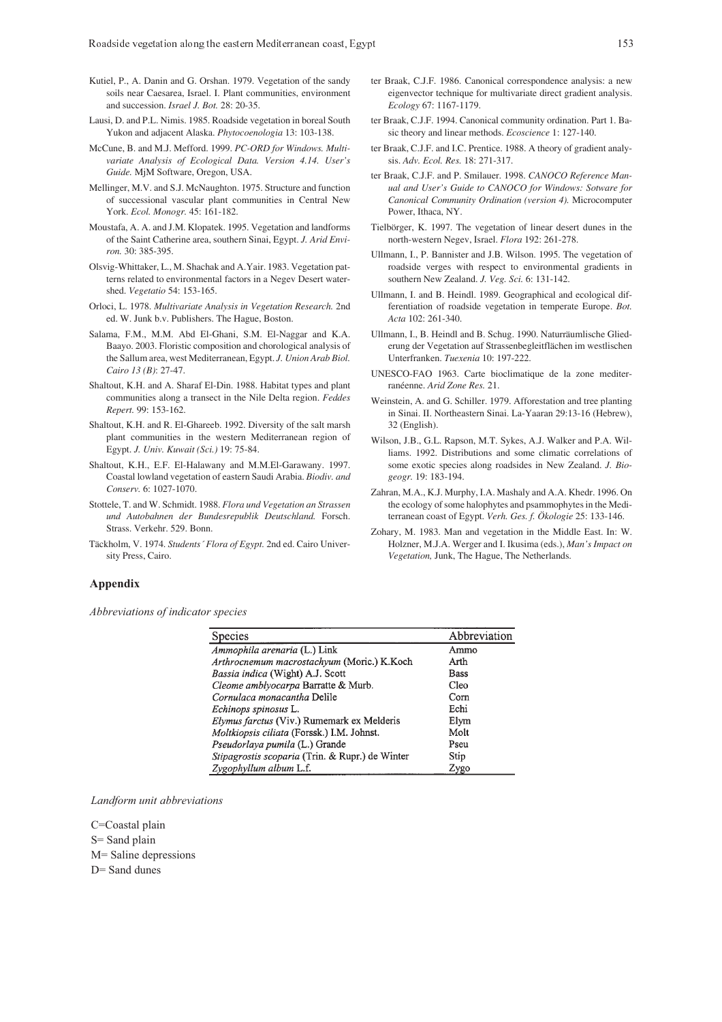- Kutiel, P., A. Danin and G. Orshan. 1979. Vegetation of the sandy soils near Caesarea, Israel. I. Plant communities, environment and succession. *Israel J. Bot.* 28: 20-35.
- Lausi, D. and P.L. Nimis. 1985. Roadside vegetation in boreal South Yukon and adjacent Alaska. *Phytocoenologia* 13: 103-138.
- McCune, B. and M.J. Mefford. 1999. *PC-ORD for Windows. Multivariate Analysis of Ecological Data. Version 4.14. User's Guide.* MjM Software, Oregon, USA.
- Mellinger, M.V. and S.J. McNaughton. 1975. Structure and function of successional vascular plant communities in Central New York. *Ecol. Monogr.* 45: 161-182.
- Moustafa, A. A. and J.M. Klopatek. 1995. Vegetation and landforms of the Saint Catherine area, southern Sinai, Egypt. *J. Arid Environ.* 30: 385-395.
- Olsvig-Whittaker, L., M. Shachak and A.Yair. 1983. Vegetation patterns related to environmental factors in a Negev Desert watershed. *Vegetatio* 54: 153-165.
- Orloci, L. 1978. *Multivariate Analysis in Vegetation Research.* 2nd ed. W. Junk b.v. Publishers. The Hague, Boston.
- Salama, F.M., M.M. Abd El-Ghani, S.M. El-Naggar and K.A. Baayo. 2003. Floristic composition and chorological analysis of the Sallum area, west Mediterranean, Egypt. *J. Union Arab Biol. Cairo 13 (B)*: 27-47.
- Shaltout, K.H. and A. Sharaf El-Din. 1988. Habitat types and plant communities along a transect in the Nile Delta region. *Feddes Repert.* 99: 153-162.
- Shaltout, K.H. and R. El-Ghareeb. 1992. Diversity of the salt marsh plant communities in the western Mediterranean region of Egypt. *J. Univ. Kuwait (Sci.)* 19: 75-84.
- Shaltout, K.H., E.F. El-Halawany and M.M.El-Garawany. 1997. Coastal lowland vegetation of eastern Saudi Arabia. *Biodiv. and Conserv.* 6: 1027-1070.
- Stottele, T. and W. Schmidt. 1988. *Flora und Vegetation an Strassen und Autobahnen der Bundesrepublik Deutschland.* Forsch. Strass. Verkehr. 529. Bonn.
- Täckholm, V. 1974. *Students´ Flora of Egypt.* 2nd ed. Cairo University Press, Cairo.
- ter Braak, C.J.F. 1986. Canonical correspondence analysis: a new eigenvector technique for multivariate direct gradient analysis. *Ecology* 67: 1167-1179.
- ter Braak, C.J.F. 1994. Canonical community ordination. Part 1. Basic theory and linear methods. *Ecoscience* 1: 127-140.
- ter Braak, C.J.F. and I.C. Prentice. 1988. A theory of gradient analysis. *Adv. Ecol. Res.* 18: 271-317.
- ter Braak, C.J.F. and P. Smilauer. 1998. *CANOCO Reference Manual and User's Guide to CANOCO for Windows: Sotware for Canonical Community Ordination (version 4).* Microcomputer Power, Ithaca, NY.
- Tielbörger, K. 1997. The vegetation of linear desert dunes in the north-western Negev, Israel. *Flora* 192: 261-278.
- Ullmann, I., P. Bannister and J.B. Wilson. 1995. The vegetation of roadside verges with respect to environmental gradients in southern New Zealand. *J. Veg. Sci.* 6: 131-142.
- Ullmann, I. and B. Heindl. 1989. Geographical and ecological differentiation of roadside vegetation in temperate Europe. *Bot. Acta* 102: 261-340.
- Ullmann, I., B. Heindl and B. Schug. 1990. Naturräumlische Gliederung der Vegetation auf Strassenbegleitflächen im westlischen Unterfranken. *Tuexenia* 10: 197-222.
- UNESCO-FAO 1963. Carte bioclimatique de la zone mediterranéenne. *Arid Zone Res.* 21.
- Weinstein, A. and G. Schiller. 1979. Afforestation and tree planting in Sinai. II. Northeastern Sinai. La-Yaaran 29:13-16 (Hebrew), 32 (English).
- Wilson, J.B., G.L. Rapson, M.T. Sykes, A.J. Walker and P.A. Williams. 1992. Distributions and some climatic correlations of some exotic species along roadsides in New Zealand. *J. Biogeogr.* 19: 183-194.
- Zahran, M.A., K.J. Murphy, I.A. Mashaly and A.A. Khedr. 1996. On the ecology of some halophytes and psammophytes in the Mediterranean coast of Egypt. *Verh. Ges. f. Ökologie* 25: 133-146.
- Zohary, M. 1983. Man and vegetation in the Middle East. In: W. Holzner, M.J.A. Werger and I. Ikusima (eds.), *Man's Impact on Vegetation,* Junk, The Hague, The Netherlands.

#### **Appendix**

*Abbreviations of indicator species*

| <b>Species</b>                                    | Abbreviation |
|---------------------------------------------------|--------------|
| Ammophila arenaria (L.) Link                      | Ammo         |
| Arthrocnemum macrostachyum (Moric.) K.Koch        | Arth         |
| Bassia indica (Wight) A.J. Scott                  | <b>Bass</b>  |
| Cleome amblyocarpa Barratte & Murb.               | Cleo         |
| Cornulaca monacantha Delile                       | Corn         |
| Echinops spinosus L.                              | Echi         |
| <i>Elymus farctus</i> (Viv.) Rumemark ex Melderis | Elym         |
| Moltkiopsis ciliata (Forssk.) I.M. Johnst.        | Molt         |
| Pseudorlaya pumila (L.) Grande                    | Pseu         |
| Stipagrostis scoparia (Trin. & Rupr.) de Winter   | Stip         |
| Zygophyllum album L.f.                            | Zygo         |

*Landform unit abbreviations*

C=Coastal plain S= Sand plain M= Saline depressions D= Sand dunes